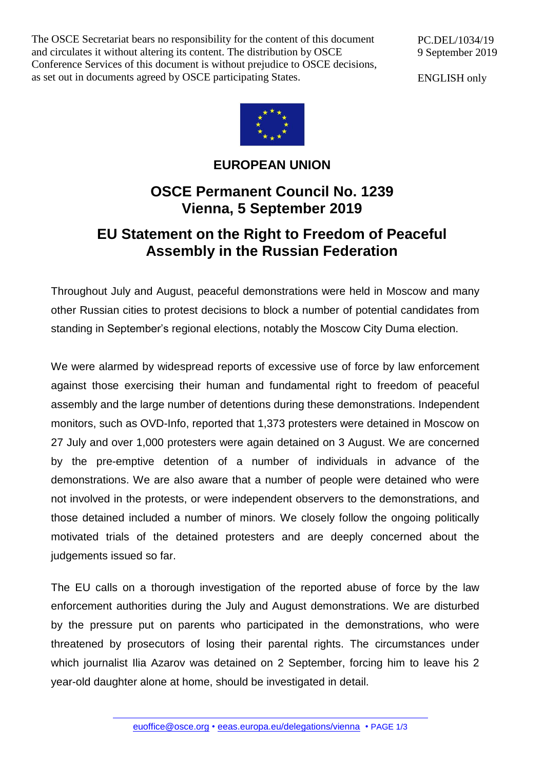The OSCE Secretariat bears no responsibility for the content of this document and circulates it without altering its content. The distribution by OSCE Conference Services of this document is without prejudice to OSCE decisions, as set out in documents agreed by OSCE participating States.

PC.DEL/1034/19 9 September 2019

ENGLISH only



## **EUROPEAN UNION**

## **OSCE Permanent Council No. 1239 Vienna, 5 September 2019**

## **EU Statement on the Right to Freedom of Peaceful Assembly in the Russian Federation**

Throughout July and August, peaceful demonstrations were held in Moscow and many other Russian cities to protest decisions to block a number of potential candidates from standing in September's regional elections, notably the Moscow City Duma election.

We were alarmed by widespread reports of excessive use of force by law enforcement against those exercising their human and fundamental right to freedom of peaceful assembly and the large number of detentions during these demonstrations. Independent monitors, such as OVD-Info, reported that 1,373 protesters were detained in Moscow on 27 July and over 1,000 protesters were again detained on 3 August. We are concerned by the pre-emptive detention of a number of individuals in advance of the demonstrations. We are also aware that a number of people were detained who were not involved in the protests, or were independent observers to the demonstrations, and those detained included a number of minors. We closely follow the ongoing politically motivated trials of the detained protesters and are deeply concerned about the judgements issued so far.

The EU calls on a thorough investigation of the reported abuse of force by the law enforcement authorities during the July and August demonstrations. We are disturbed by the pressure put on parents who participated in the demonstrations, who were threatened by prosecutors of losing their parental rights. The circumstances under which journalist Ilia Azarov was detained on 2 September, forcing him to leave his 2 year-old daughter alone at home, should be investigated in detail.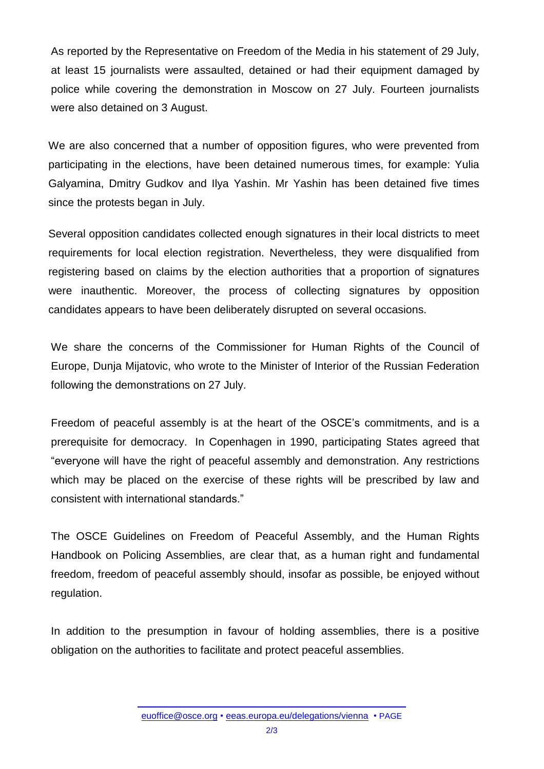As reported by the Representative on Freedom of the Media in his statement of 29 July, at least 15 journalists were assaulted, detained or had their equipment damaged by police while covering the demonstration in Moscow on 27 July. Fourteen journalists were also detained on 3 August.

We are also concerned that a number of opposition figures, who were prevented from participating in the elections, have been detained numerous times, for example: Yulia Galyamina, Dmitry Gudkov and Ilya Yashin. Mr Yashin has been detained five times since the protests began in July.

Several opposition candidates collected enough signatures in their local districts to meet requirements for local election registration. Nevertheless, they were disqualified from registering based on claims by the election authorities that a proportion of signatures were inauthentic. Moreover, the process of collecting signatures by opposition candidates appears to have been deliberately disrupted on several occasions.

We share the concerns of the Commissioner for Human Rights of the Council of Europe, Dunja Mijatovic, who wrote to the Minister of Interior of the Russian Federation following the demonstrations on 27 July.

Freedom of peaceful assembly is at the heart of the OSCE's commitments, and is a prerequisite for democracy. In Copenhagen in 1990, participating States agreed that "everyone will have the right of peaceful assembly and demonstration. Any restrictions which may be placed on the exercise of these rights will be prescribed by law and consistent with international standards."

The OSCE Guidelines on Freedom of Peaceful Assembly, and the Human Rights Handbook on Policing Assemblies, are clear that, as a human right and fundamental freedom, freedom of peaceful assembly should, insofar as possible, be enjoyed without regulation.

In addition to the presumption in favour of holding assemblies, there is a positive obligation on the authorities to facilitate and protect peaceful assemblies.